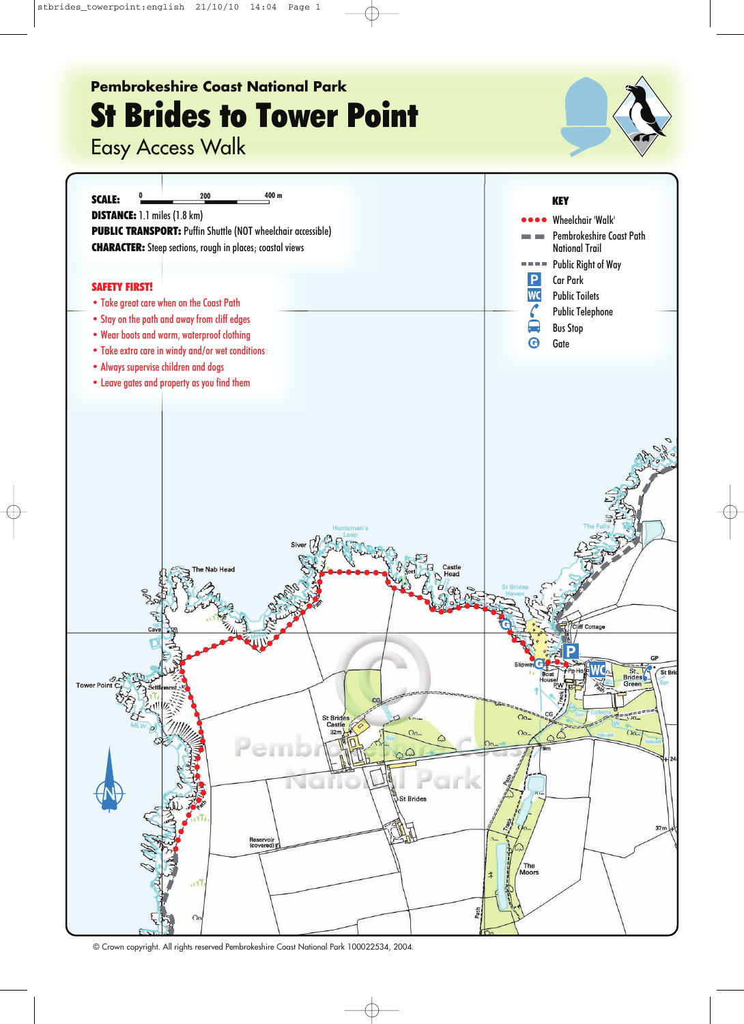## **Pembrokeshire Coast National Park St Brides to Tower Point**

Easy Access Walk





© Crown copyright. All rights reserved Pembrokeshire Coast National Park 100022534, 2004.